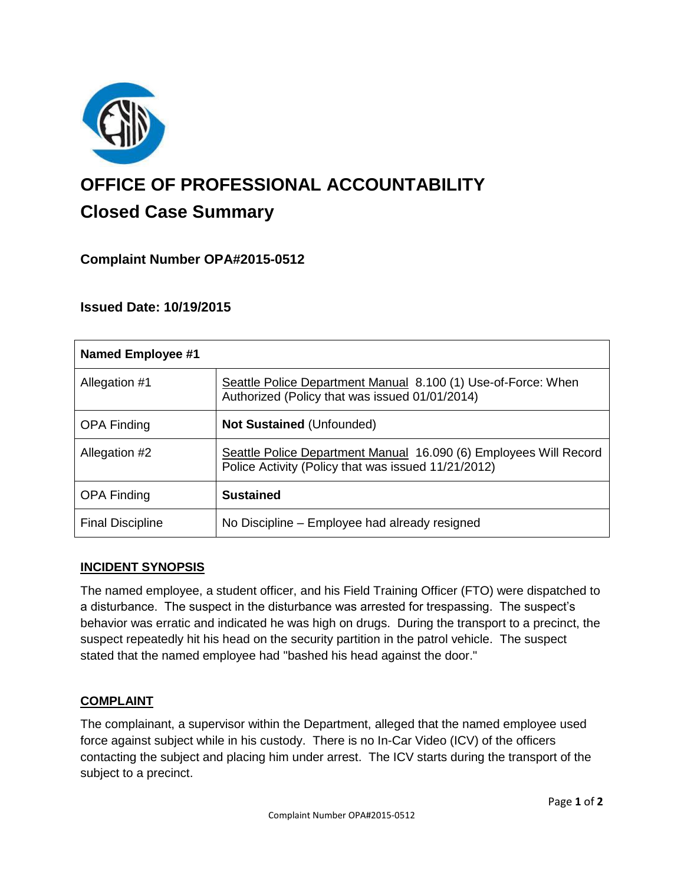

# **OFFICE OF PROFESSIONAL ACCOUNTABILITY Closed Case Summary**

# **Complaint Number OPA#2015-0512**

# **Issued Date: 10/19/2015**

| Named Employee #1       |                                                                                                                          |
|-------------------------|--------------------------------------------------------------------------------------------------------------------------|
| Allegation #1           | Seattle Police Department Manual 8.100 (1) Use-of-Force: When<br>Authorized (Policy that was issued 01/01/2014)          |
| <b>OPA Finding</b>      | <b>Not Sustained (Unfounded)</b>                                                                                         |
| Allegation #2           | Seattle Police Department Manual 16.090 (6) Employees Will Record<br>Police Activity (Policy that was issued 11/21/2012) |
| <b>OPA Finding</b>      | <b>Sustained</b>                                                                                                         |
| <b>Final Discipline</b> | No Discipline – Employee had already resigned                                                                            |

## **INCIDENT SYNOPSIS**

The named employee, a student officer, and his Field Training Officer (FTO) were dispatched to a disturbance. The suspect in the disturbance was arrested for trespassing. The suspect's behavior was erratic and indicated he was high on drugs. During the transport to a precinct, the suspect repeatedly hit his head on the security partition in the patrol vehicle. The suspect stated that the named employee had "bashed his head against the door."

## **COMPLAINT**

The complainant, a supervisor within the Department, alleged that the named employee used force against subject while in his custody. There is no In-Car Video (ICV) of the officers contacting the subject and placing him under arrest. The ICV starts during the transport of the subject to a precinct.